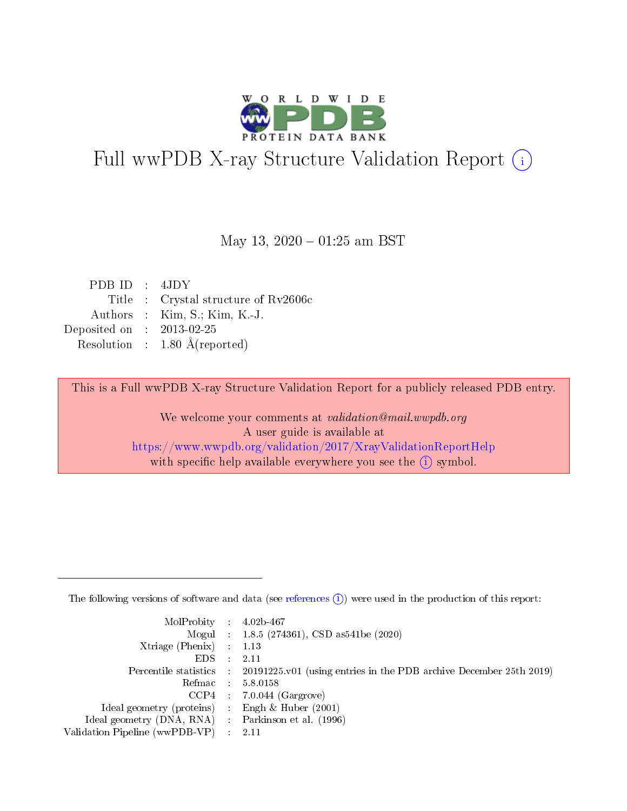

# Full wwPDB X-ray Structure Validation Report (i)

#### May 13,  $2020 - 01:25$  am BST

| PDBID : 4JDY                |                                          |
|-----------------------------|------------------------------------------|
|                             | Title : Crystal structure of Rv2606c     |
|                             | Authors : $Kim, S.; Kim, K.-J.$          |
| Deposited on : $2013-02-25$ |                                          |
|                             | Resolution : $1.80 \text{ Å}$ (reported) |
|                             |                                          |

This is a Full wwPDB X-ray Structure Validation Report for a publicly released PDB entry.

We welcome your comments at validation@mail.wwpdb.org A user guide is available at <https://www.wwpdb.org/validation/2017/XrayValidationReportHelp> with specific help available everywhere you see the  $(i)$  symbol.

The following versions of software and data (see [references](https://www.wwpdb.org/validation/2017/XrayValidationReportHelp#references)  $(1)$ ) were used in the production of this report:

| MolProbity : $4.02b-467$                            |                                                                                            |
|-----------------------------------------------------|--------------------------------------------------------------------------------------------|
|                                                     | Mogul : $1.8.5$ (274361), CSD as 541be (2020)                                              |
| Xtriage (Phenix) $: 1.13$                           |                                                                                            |
| $EDS$ :                                             | -2.11                                                                                      |
|                                                     | Percentile statistics : 20191225.v01 (using entries in the PDB archive December 25th 2019) |
| Refmac : 5.8.0158                                   |                                                                                            |
| CCP4                                                | $7.0.044$ (Gargrove)                                                                       |
| Ideal geometry (proteins) :                         | Engh $\&$ Huber (2001)                                                                     |
| Ideal geometry (DNA, RNA) : Parkinson et al. (1996) |                                                                                            |
| Validation Pipeline (wwPDB-VP) : 2.11               |                                                                                            |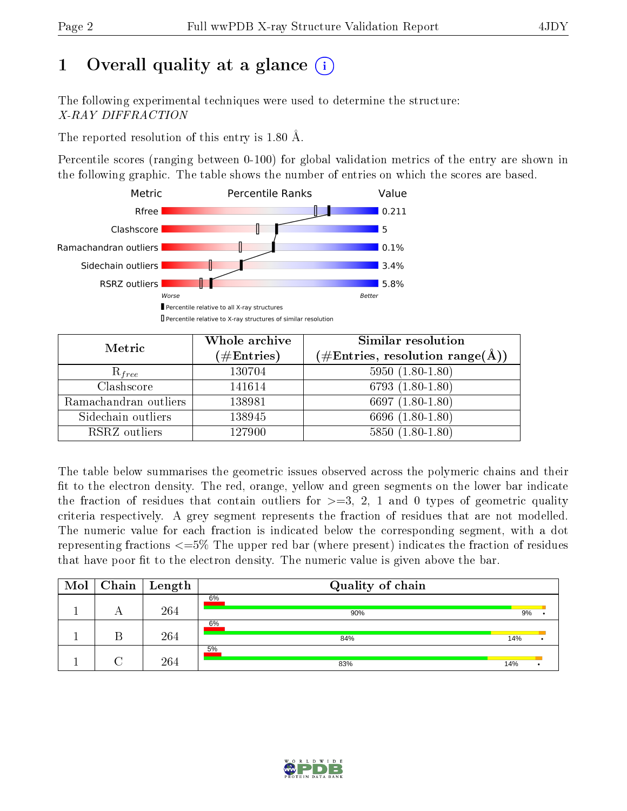# 1 [O](https://www.wwpdb.org/validation/2017/XrayValidationReportHelp#overall_quality)verall quality at a glance  $(i)$

The following experimental techniques were used to determine the structure: X-RAY DIFFRACTION

The reported resolution of this entry is 1.80 Å.

Percentile scores (ranging between 0-100) for global validation metrics of the entry are shown in the following graphic. The table shows the number of entries on which the scores are based.



| Metric                | Whole archive<br>$(\#\text{Entries})$ | Similar resolution<br>(#Entries, resolution range( $\AA$ )) |  |  |
|-----------------------|---------------------------------------|-------------------------------------------------------------|--|--|
| $R_{free}$            | 130704                                | $5950(1.80-1.80)$                                           |  |  |
| Clashscore            | 141614                                | 6793 $(1.80-1.80)$                                          |  |  |
| Ramachandran outliers | 138981                                | 6697 $(1.80-1.80)$                                          |  |  |
| Sidechain outliers    | 138945                                | 6696 (1.80-1.80)                                            |  |  |
| RSRZ outliers         | 127900                                | $5850(1.80-1.80)$                                           |  |  |

The table below summarises the geometric issues observed across the polymeric chains and their fit to the electron density. The red, orange, yellow and green segments on the lower bar indicate the fraction of residues that contain outliers for  $>=3, 2, 1$  and 0 types of geometric quality criteria respectively. A grey segment represents the fraction of residues that are not modelled. The numeric value for each fraction is indicated below the corresponding segment, with a dot representing fractions  $\epsilon=5\%$  The upper red bar (where present) indicates the fraction of residues that have poor fit to the electron density. The numeric value is given above the bar.

| Mol | $\vert$ Chain $\vert$ Length | Quality of chain |     |  |
|-----|------------------------------|------------------|-----|--|
|     | 264                          | 6%<br>90%        | 9%  |  |
|     | 264                          | 6%<br>84%        | 14% |  |
|     | 264                          | 5%<br>83%        | 14% |  |

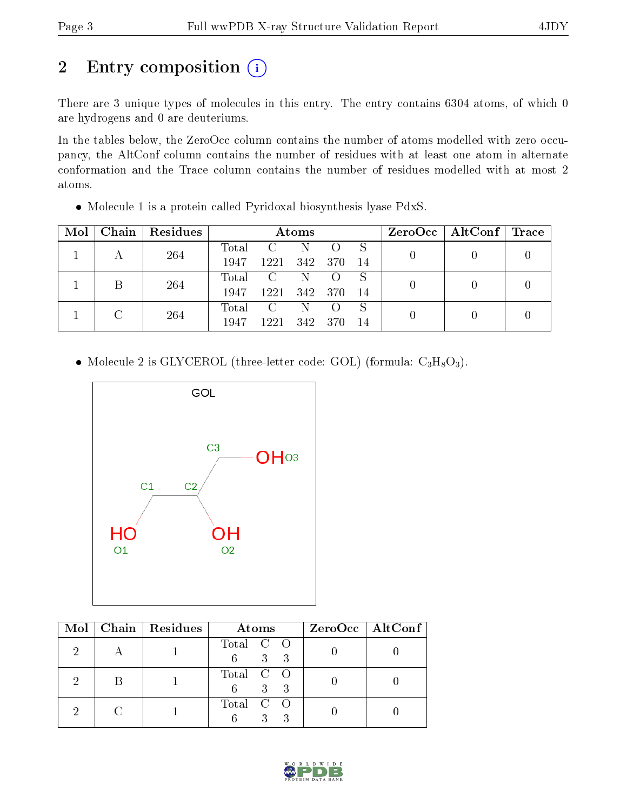# 2 Entry composition (i)

There are 3 unique types of molecules in this entry. The entry contains 6304 atoms, of which 0 are hydrogens and 0 are deuteriums.

In the tables below, the ZeroOcc column contains the number of atoms modelled with zero occupancy, the AltConf column contains the number of residues with at least one atom in alternate conformation and the Trace column contains the number of residues modelled with at most 2 atoms.

| Mol |     | Chain   Residues | Atoms |              |         |                                                      |             |  | $ZeroOcc \mid AltConf \mid Trace$ |  |
|-----|-----|------------------|-------|--------------|---------|------------------------------------------------------|-------------|--|-----------------------------------|--|
|     |     | 264              | Total | $\mathbf{C}$ | -N      | - 0                                                  | -S          |  |                                   |  |
|     |     |                  | 1947  | 1221         | 342 370 |                                                      | $\sqrt{14}$ |  |                                   |  |
|     |     | 264              | Total | $\mathbf{C}$ | -N-     | $\left( \begin{array}{c} 0 \\ 1 \end{array} \right)$ | -S          |  |                                   |  |
|     |     |                  | 1947  | 1221         | 342 370 |                                                      | -14         |  |                                   |  |
|     |     |                  | Total | $\mathbf C$  | -N      |                                                      | S           |  |                                   |  |
|     | 264 | 1947             | 1221  |              | 342 370 | -14                                                  |             |  |                                   |  |

Molecule 1 is a protein called Pyridoxal biosynthesis lyase PdxS.

• Molecule 2 is GLYCEROL (three-letter code: GOL) (formula:  $C_3H_8O_3$ ).



|   | $Mol$   Chain   Residues | Atoms                     | ZeroOcc   AltConf |
|---|--------------------------|---------------------------|-------------------|
| 2 |                          | Total C O<br>3 3<br>$6 -$ |                   |
|   |                          | Total C O<br>$3 \quad 3$  |                   |
|   |                          | Total C O                 |                   |

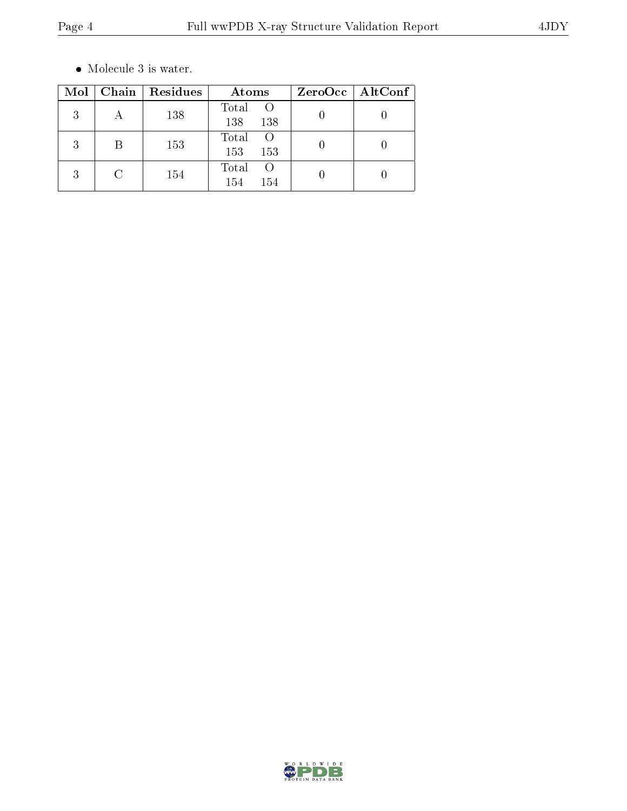$\bullet\,$  Molecule 3 is water.

| Mol |   | Chain   Residues | Atoms                                   | ZeroOcc   AltConf |
|-----|---|------------------|-----------------------------------------|-------------------|
| 3   | А | 138              | Total<br>138<br>138                     |                   |
| 3   | В | 153              | Total<br>$\left( \right)$<br>153<br>153 |                   |
| 3   | C | 154              | Total<br>$\left( \right)$<br>154<br>154 |                   |

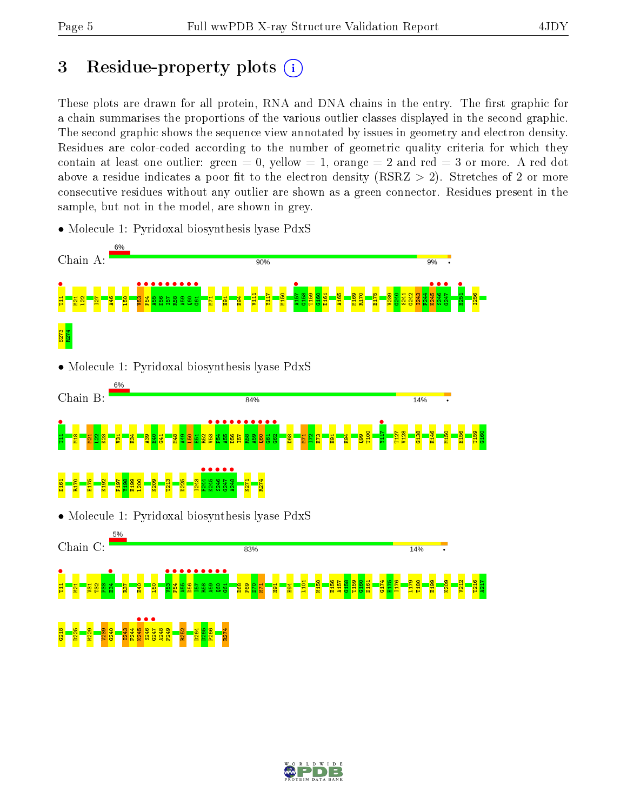# 3 Residue-property plots  $(i)$

These plots are drawn for all protein, RNA and DNA chains in the entry. The first graphic for a chain summarises the proportions of the various outlier classes displayed in the second graphic. The second graphic shows the sequence view annotated by issues in geometry and electron density. Residues are color-coded according to the number of geometric quality criteria for which they contain at least one outlier: green  $= 0$ , yellow  $= 1$ , orange  $= 2$  and red  $= 3$  or more. A red dot above a residue indicates a poor fit to the electron density (RSRZ  $> 2$ ). Stretches of 2 or more consecutive residues without any outlier are shown as a green connector. Residues present in the sample, but not in the model, are shown in grey.

• Molecule 1: Pyridoxal biosynthesis lyase PdxS



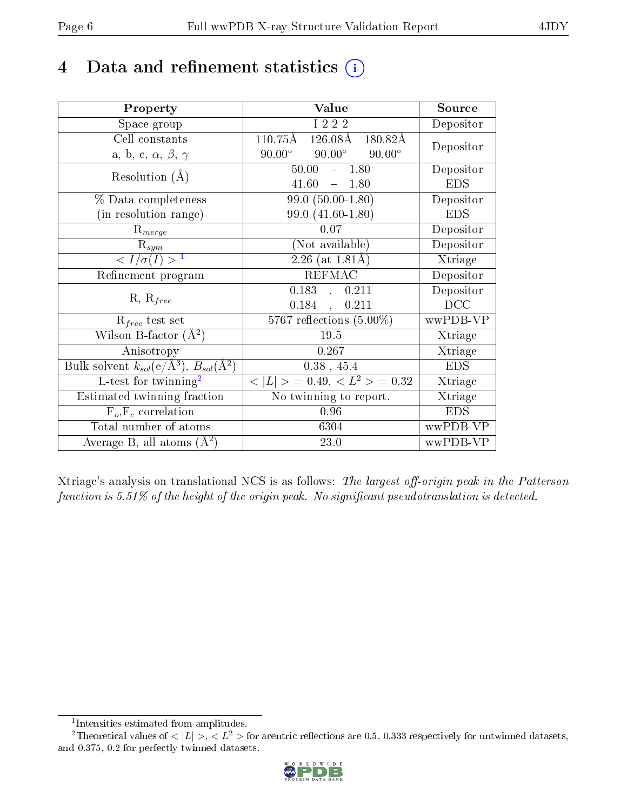# 4 Data and refinement statistics  $(i)$

| Property                                                         | Value                                             | Source     |
|------------------------------------------------------------------|---------------------------------------------------|------------|
| Space group                                                      | I 2 2 2                                           | Depositor  |
| Cell constants                                                   | 110.75Å 126.08Å<br>180.82Å                        |            |
| a, b, c, $\alpha$ , $\beta$ , $\gamma$                           | $90.00^{\circ}$<br>$90.00^\circ$<br>$90.00^\circ$ | Depositor  |
| Resolution $(A)$                                                 | 50.00<br>$-1.80$                                  | Depositor  |
|                                                                  | 41.60<br>$-1.80$                                  | <b>EDS</b> |
| $\%$ Data completeness                                           | $99.0(50.00-1.80)$                                | Depositor  |
| (in resolution range)                                            | 99.0 (41.60-1.80)                                 | <b>EDS</b> |
| $R_{merge}$                                                      | 0.07                                              | Depositor  |
| $\mathrm{R}_{sym}$                                               | (Not available)                                   | Depositor  |
| $\langle I/\sigma(I) \rangle^{-1}$                               | $2.26$ (at 1.81Å)                                 | Xtriage    |
| Refinement program                                               | <b>REFMAC</b>                                     | Depositor  |
|                                                                  | $0.183$ , $0.211$                                 | Depositor  |
| $R, R_{free}$                                                    | $0.184$ ,<br>0.211                                | DCC        |
| $R_{free}$ test set                                              | 5767 reflections $(5.00\%)$                       | wwPDB-VP   |
| Wilson B-factor $(A^2)$                                          | 19.5                                              | Xtriage    |
| Anisotropy                                                       | 0.267                                             | Xtriage    |
| Bulk solvent $k_{sol}(\text{e}/\text{A}^3), B_{sol}(\text{A}^2)$ | $0.38$ , 45.4                                     | <b>EDS</b> |
| L-test for $\mathrm{twinning}^2$                                 | $< L >$ = 0.49, $< L2$ = 0.32                     | Xtriage    |
| Estimated twinning fraction                                      | No twinning to report.                            | Xtriage    |
| $\overline{F_o}, \overline{F_c}$ correlation                     | 0.96                                              | <b>EDS</b> |
| Total number of atoms                                            | 6304                                              | wwPDB-VP   |
| Average B, all atoms $(A^2)$                                     | 23.0                                              | wwPDB-VP   |

Xtriage's analysis on translational NCS is as follows: The largest off-origin peak in the Patterson function is  $5.51\%$  of the height of the origin peak. No significant pseudotranslation is detected.

<sup>&</sup>lt;sup>2</sup>Theoretical values of  $\langle |L| \rangle$ ,  $\langle L^2 \rangle$  for acentric reflections are 0.5, 0.333 respectively for untwinned datasets, and 0.375, 0.2 for perfectly twinned datasets.



<span id="page-5-1"></span><span id="page-5-0"></span><sup>1</sup> Intensities estimated from amplitudes.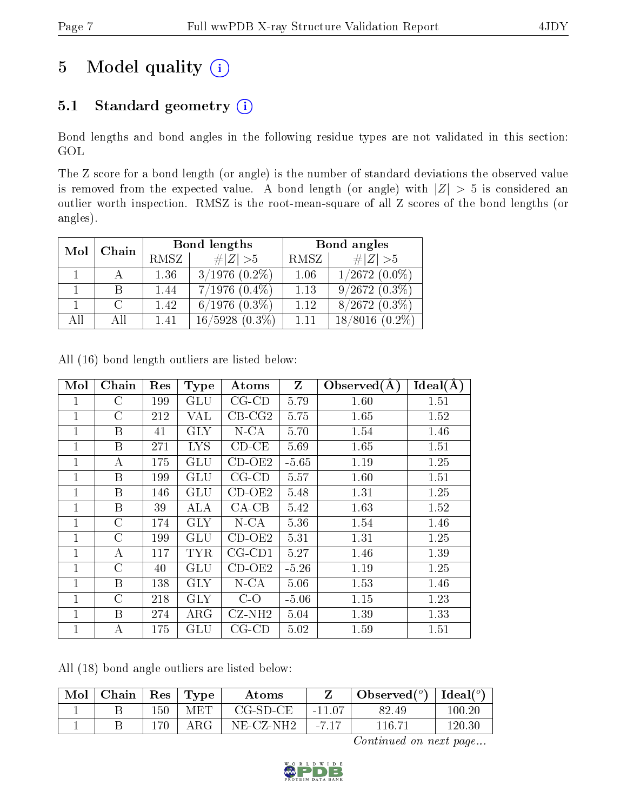# 5 Model quality  $(i)$

### 5.1 Standard geometry  $(i)$

Bond lengths and bond angles in the following residue types are not validated in this section: GOL

The Z score for a bond length (or angle) is the number of standard deviations the observed value is removed from the expected value. A bond length (or angle) with  $|Z| > 5$  is considered an outlier worth inspection. RMSZ is the root-mean-square of all Z scores of the bond lengths (or angles).

| Mol | Chain  |          | Bond lengths         | Bond angles |                            |  |
|-----|--------|----------|----------------------|-------------|----------------------------|--|
|     |        | RMSZ     | # $ Z >5$            | RMSZ        | # $ Z >5$                  |  |
|     |        | 1.36     | $3/1976$ $(0.2\%)$   | 1.06        | $\overline{1/2672}$ (0.0%) |  |
|     | В      | 1.44     | $7/1976(0.4\%)$      | 1.13        | $9/2672(0.3\%)$            |  |
|     | $\cap$ | 1.42     | $6/1976$ $(0.3\%)$   | 1.12        | $\sqrt{8/2672}$ (0.3%)     |  |
| All | АH     | $1.41\,$ | 16/5928<br>$(0.3\%)$ | 1 1 1       | 18/8016<br>$(0.2\%)$       |  |

| Mol          | Chain         | Res | <b>Type</b>          | $\rm{Atoms}$ | Z       | Observed $(A)$ | Ideal(A) |
|--------------|---------------|-----|----------------------|--------------|---------|----------------|----------|
| 1            | $\rm C$       | 199 | GLU                  | $CG$ - $CD$  | 5.79    | 1.60           | 1.51     |
| 1            | С             | 212 | VAL                  | $CB-CG2$     | 5.75    | 1.65           | 1.52     |
| $\mathbf{1}$ | B             | 41  | <b>GLY</b>           | $N$ -CA      | 5.70    | 1.54           | 1.46     |
| 1            | Β             | 271 | <b>LYS</b>           | $CD$ - $CE$  | 5.69    | 1.65           | 1.51     |
| 1            | А             | 175 | GLU                  | $CD-OE2$     | $-5.65$ | 1.19           | 1.25     |
| 1            | B             | 199 | $\operatorname{GLU}$ | $CG$ - $CD$  | 5.57    | 1.60           | 1.51     |
| 1            | Β             | 146 | GLU                  | CD-OE2       | 5.48    | 1.31           | 1.25     |
| $\mathbf 1$  | B             | 39  | ALA                  | $CA-CB$      | 5.42    | 1.63           | 1.52     |
| 1            | $\mathcal{C}$ | 174 | <b>GLY</b>           | $N$ -CA      | 5.36    | 1.54           | 1.46     |
| $\mathbf{1}$ | $\rm C$       | 199 | GLU                  | $CD-OE2$     | 5.31    | 1.31           | 1.25     |
| 1            | A             | 117 | <b>TYR</b>           | $CG$ - $CD1$ | 5.27    | 1.46           | 1.39     |
| 1            | $\rm C$       | 40  | GLU                  | $CD-OE2$     | $-5.26$ | 1.19           | 1.25     |
| 1            | B             | 138 | <b>GLY</b>           | $N$ -CA      | 5.06    | 1.53           | 1.46     |
| 1            | $\rm C$       | 218 | <b>GLY</b>           | $C-O$        | $-5.06$ | 1.15           | 1.23     |
| 1            | B             | 274 | $\rm{ARG}$           | $CZ-NH2$     | 5.04    | 1.39           | 1.33     |
| $\mathbf{1}$ | А             | 175 | GLU                  | $CG$ - $CD$  | 5.02    | 1.59           | 1.51     |

All (16) bond length outliers are listed below:

All (18) bond angle outliers are listed below:

| Mol | Chain | $\operatorname{Res}_{\perp}$ | Type       | Atoms                      |          | Observed( $^{\circ}$ )   Ideal( $^{\circ}$ ) |        |
|-----|-------|------------------------------|------------|----------------------------|----------|----------------------------------------------|--------|
|     |       | 150                          | MET        | $CG-SD-CE$                 | $-11.07$ | 82.49                                        | 100.20 |
|     |       | 170                          | $\rm{ARG}$ | $NE$ $CZ$ -NH <sub>2</sub> | $-7.17$  | 116.71                                       | 120.30 |

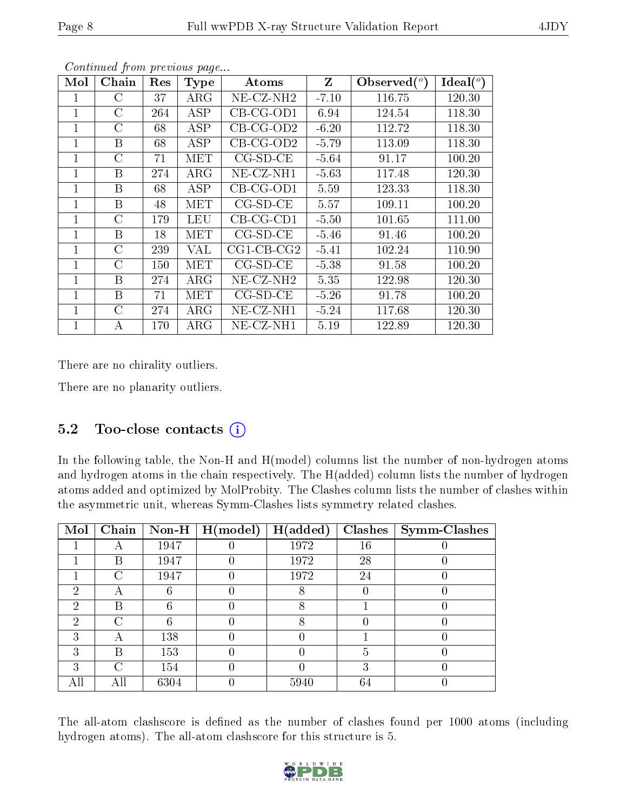| Mol          | Chain   | Res | Type       | Atoms        | Z       | Observed $(°)$ | Ideal $(^\circ)$ |
|--------------|---------|-----|------------|--------------|---------|----------------|------------------|
| 1            | С       | 37  | $\rm{ARG}$ | $NE-CZ-NH2$  | $-7.10$ | 116.75         | 120.30           |
| 1            | С       | 264 | <b>ASP</b> | $CB-CG-OD1$  | 6.94    | 124.54         | 118.30           |
| $\mathbf 1$  | С       | 68  | <b>ASP</b> | $CB-CG-OD2$  | $-6.20$ | 112.72         | 118.30           |
| 1            | Β       | 68  | ASP        | $CB-CG-OD2$  | $-5.79$ | 113.09         | 118.30           |
| $\mathbf{1}$ | C       | 71  | MET        | $CG-SD-CE$   | $-5.64$ | 91.17          | 100.20           |
| 1            | Β       | 274 | $\rm{ARG}$ | $NE-CL-NH1$  | $-5.63$ | 117.48         | 120.30           |
| $\mathbf{1}$ | Β       | 68  | <b>ASP</b> | $CB-CG-OD1$  | 5.59    | 123.33         | 118.30           |
| $\mathbf 1$  | B       | 48  | <b>MET</b> | $CG-SD-CE$   | 5.57    | 109.11         | 100.20           |
| 1            | $\rm C$ | 179 | LEU        | $CB-CG-CD1$  | $-5.50$ | 101.65         | 111.00           |
| $\mathbf{1}$ | B       | 18  | MET        | $CG-SD-CE$   | $-5.46$ | 91.46          | 100.20           |
| $\mathbf 1$  | C       | 239 | VAL        | $CG1-CB-CG2$ | $-5.41$ | 102.24         | 110.90           |
| $\mathbf{1}$ | С       | 150 | MET        | $CG-SD-CE$   | $-5.38$ | 91.58          | 100.20           |
| 1            | B       | 274 | $\rm{ARG}$ | $NE-CZ-NH2$  | 5.35    | 122.98         | 120.30           |
| 1            | B       | 71  | MET        | $CG-SD-CE$   | $-5.26$ | 91.78          | 100.20           |
| $\mathbf{1}$ | С       | 274 | $\rm{ARG}$ | $NE-CL-NH1$  | $-5.24$ | 117.68         | 120.30           |
| 1            | А       | 170 | $\rm{ARG}$ | $NE-CZ-NH1$  | 5.19    | 122.89         | 120.30           |

There are no chirality outliers.

There are no planarity outliers.

### 5.2 Too-close contacts  $(i)$

In the following table, the Non-H and H(model) columns list the number of non-hydrogen atoms and hydrogen atoms in the chain respectively. The H(added) column lists the number of hydrogen atoms added and optimized by MolProbity. The Clashes column lists the number of clashes within the asymmetric unit, whereas Symm-Clashes lists symmetry related clashes.

| Mol | Chain | Non-H | H (model) | H(added) | <b>Clashes</b> | <b>Symm-Clashes</b> |
|-----|-------|-------|-----------|----------|----------------|---------------------|
|     |       | 1947  |           | 1972     | 16             |                     |
|     | Β     | 1947  |           | 1972     | 28             |                     |
|     | C     | 1947  |           | 1972     | 24             |                     |
| 2   | А     | 6     |           |          |                |                     |
| 2   | В     | 6     |           | 8        |                |                     |
| 2   | C     |       |           | 8        |                |                     |
| 3   | А     | 138   |           |          |                |                     |
| 3   | Β     | 153   |           |          | 5              |                     |
| 3   | C     | 154   |           |          | 3              |                     |
| All | Аll   | 6304  |           | 5940     | 64             |                     |

The all-atom clashscore is defined as the number of clashes found per 1000 atoms (including hydrogen atoms). The all-atom clashscore for this structure is 5.

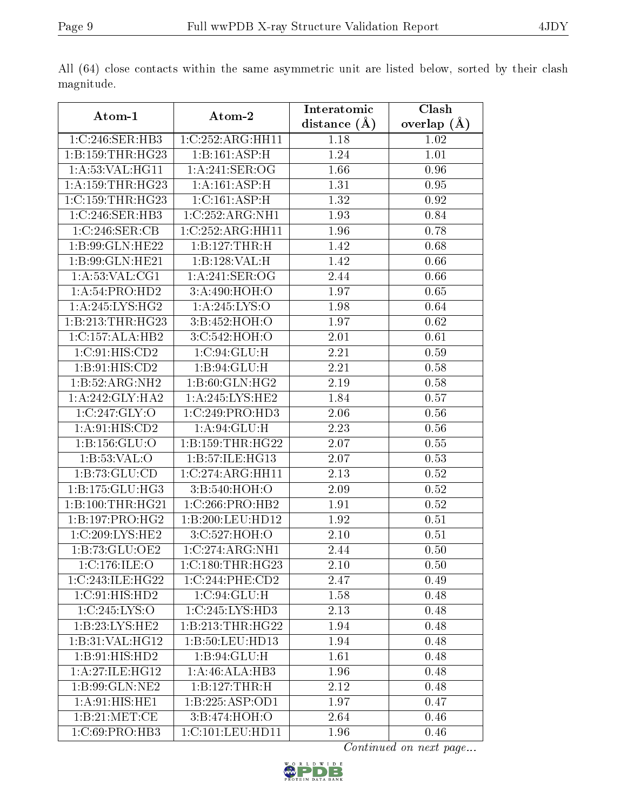|                             |                            | Interatomic    | Clash           |
|-----------------------------|----------------------------|----------------|-----------------|
| Atom-1                      | Atom-2                     | distance $(A)$ | overlap $(\AA)$ |
| 1:C:246:SER:HB3             | 1:C:252:ARG:HH11           | 1.18           | 1.02            |
| 1:B:159:THR:HG23            | 1:B:161:ASP:H              | $1.24\,$       | $1.01\,$        |
| 1: A:53: VAL:HGI1           | 1:A:241:SER:OG             | 1.66           | 0.96            |
| 1: A: 159: THR: HG23        | 1:A:161:ASP:H              | 1.31           | 0.95            |
| 1:C:159:THR:HG23            | 1:C:161:ASP:H              | 1.32           | 0.92            |
| 1:C:246:SER:HB3             | 1:C:252:ARG:NH1            | 1.93           | 0.84            |
| 1:C:246:SER:CB              | 1:C:252:ARG:HH11           | 1.96           | 0.78            |
| 1:B:99:GLN:HE22             | 1:B:127:THR:H              | 1.42           | 0.68            |
| 1:B:99:GLN:HE21             | 1:B:128:VAL:H              | 1.42           | 0.66            |
| 1: A:53: VAL:CG1            | 1: A:241: SER:OG           | 2.44           | 0.66            |
| 1: A:54: PRO:HD2            | 3:A:490:HOH:O              | 1.97           | 0.65            |
| 1:A:245:LYS:HG2             | 1:A:245:LYS:O              | 1.98           | 0.64            |
| 1:B:213:THR:HG23            | 3:B:452:HOH:O              | 1.97           | 0.62            |
| 1:C:157:ALA:HB2             | $3:C:542:HO\overline{H:O}$ | 2.01           | 0.61            |
| 1:C:91:HIS:CD2              | 1:C:94:GLU:H               | 2.21           | 0.59            |
| 1: B:91: HIS: CD2           | 1: B:94: GLU: H            | 2.21           | 0.58            |
| 1:B:52:ARG:NH2              | 1:B:60:GLN:HG2             | 2.19           | 0.58            |
| 1: A:242: GLY:HA2           | 1: A:245:LYS:HE2           | 1.84           | 0.57            |
| 1:C:247:GLY:O               | 1:C:249:PRO:HD3            | 2.06           | 0.56            |
| 1: A:91: HIS: CD2           | 1: A:94: GLU: H            | 2.23           | 0.56            |
| 1: B: 156: GLU: O           | 1: B: 159: THR: HG22       | 2.07           | 0.55            |
| 1: B: 53: VAL: O            | 1:B:57:ILE:HG13            | 2.07           | 0.53            |
| 1:B:73:GLU:CD               | 1:C:274:ARG:HH11           | 2.13           | 0.52            |
| 1:B:175:GLU:HG3             | 3: B:540: HOH:O            | 2.09           | 0.52            |
| 1:B:100:THR:HG21            | 1:C:266:PRO:HB2            | 1.91           | 0.52            |
| 1: B: 197: PRO:HG2          | 1:B:200:LEU:HD12           | 1.92           | 0.51            |
| 1:C:209:LYS:HE2             | 3:C:527:HOH:O              | 2.10           | 0.51            |
| 1:B:73:GLU:OE2              | 1:C:274:ARG:NH1            | 2.44           | 0.50            |
| 1:C:176:ILE:O               | 1:C:180:THR:HG23           | 2.10           | 0.50            |
| 1:C:243:ILE:HG22            | 1:C:244:PHE:CD2            | 2.47           | 0.49            |
| 1:C:91:HIS:HD2              | 1:C:94:GLU:H               | 1.58           | 0.48            |
| 1:C:245:LYS:O               | 1:C:245:LYS:HD3            | 2.13           | 0.48            |
| 1:B:23:LYS:HE2              | 1:B:213:THR:HG22           | 1.94           | 0.48            |
| 1:B:31:VAL:HG12             | 1:B:50:LEU:HD13            | 1.94           | 0.48            |
| 1:B:91:HIS:HD2              | 1: B:94: GLU: H            | 1.61           | 0.48            |
| 1:A:27:ILE:HG12             | 1:A:46:ALA:HB3             | 1.96           | 0.48            |
| 1:B:99:GLN:NE2              | 1:B:127:THR:H              | 2.12           | 0.48            |
| $1:\overline{A:91:HIS:HE1}$ | 1:B:225:ASP:OD1            | 1.97           | 0.47            |
| 1:B:21:MET:CE               | 3:B:474:HOH:O              | 2.64           | 0.46            |
| 1:C:69:PRO:HB3              | 1:C:101:LEU:HD11           | 1.96           | 0.46            |

All (64) close contacts within the same asymmetric unit are listed below, sorted by their clash magnitude.

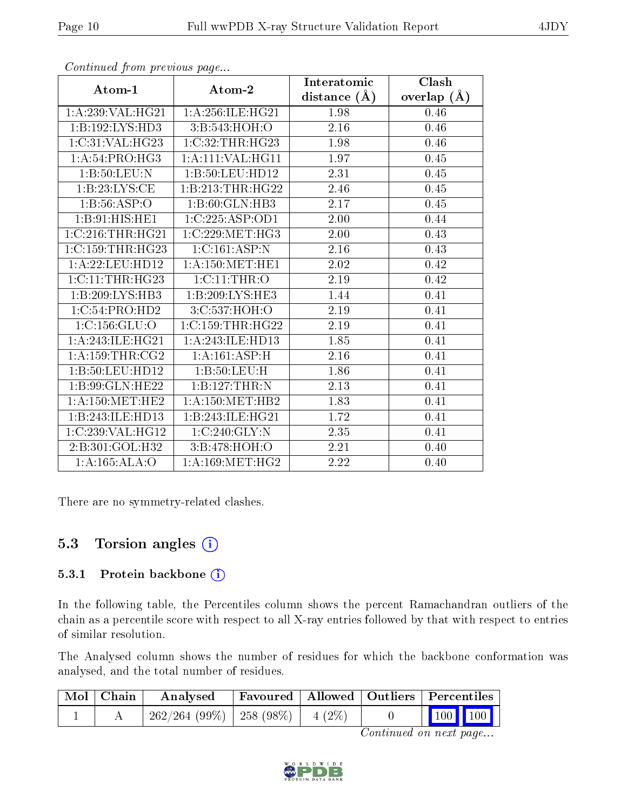|                                  | ັ                   | Interatomic       | Clash         |  |
|----------------------------------|---------------------|-------------------|---------------|--|
| Atom-1                           | Atom-2              | distance $(A)$    | overlap $(A)$ |  |
| 1:A:239:VAL:HG21                 | 1: A:256: ILE: HG21 | 1.98              | 0.46          |  |
| $1:B:192:LY\overline{S:HD3}$     | 3:B:543:HOH:O       | 2.16              | 0.46          |  |
| 1:C:31:VAL:HG23                  | 1:C:32:THR:HG23     | 1.98              | 0.46          |  |
| 1:A:54:PRO:HG3                   | 1:A:111:VAL:HG11    | 1.97              | 0.45          |  |
| 1:B:50:LEU:N                     | 1:B:50:LEU:HD12     | 2.31              | 0.45          |  |
| 1:B:23:LYS:CE                    | 1:B:213:THR:HG22    | 2.46              | 0.45          |  |
| 1:B:56:ASP:O                     | 1: B:60: GLN:HB3    | 2.17              | 0.45          |  |
| 1:B:91:HIS:HE1                   | 1:C:225:ASP:OD1     | 2.00              | 0.44          |  |
| $1:C:216$ : THR: HG21            | 1:C:229:MET:HG3     | 2.00              | 0.43          |  |
| 1:C:159:THR:HG23                 | 1:C:161:ASP:N       | 2.16              | 0.43          |  |
| 1:A:22:LEU:HD12                  | $1:$ A:150:MET:HE1  | 2.02              | 0.42          |  |
| 1:C:11:THR:HG23                  | 1: C: 11: THE: O    | 2.19              | 0.42          |  |
| 1:B:209:LYS:HB3                  | 1:B:209:LYS:HE3     | 1.44              | 0.41          |  |
| $1:C:54:P\overline{RO:HD2}$      | 3:C:537:HOH:O       | 2.19              | 0.41          |  |
| 1: C: 156: GLU: O                | 1:C:159:THR:HG22    | 2.19              | 0.41          |  |
| 1: A:243: ILE: HG21              | 1:A:243:ILE:HD13    | 1.85              | 0.41          |  |
| $1: A: 159: THR: \overline{CG2}$ | 1:A:161:ASP:H       | $2.16\,$          | 0.41          |  |
| 1:B:50:LEU:HD12                  | 1:B:50:LEU:H        | 1.86              | 0.41          |  |
| 1:B:99:GLN:HE22                  | 1:B:127:THR:N       | 2.13              | 0.41          |  |
| 1: A:150:MET:HE2                 | 1: A: 150: MET: HB2 | 1.83              | 0.41          |  |
| 1:B:243:ILE:HD13                 | 1:B:243:ILE:HG21    | 1.72              | 0.41          |  |
| 1:C:239:VAL:HG12                 | 1:C:240:GLY:N       | 2.35              | 0.41          |  |
| 2:B:301:GOL:H32                  | 3:B:478:HOH:O       | 2.21              | 0.40          |  |
| 1:A:165:ALA:O                    | 1: A:169:MET:HG2    | $\overline{2}.22$ | 0.40          |  |

There are no symmetry-related clashes.

### 5.3 Torsion angles (i)

#### 5.3.1 Protein backbone (i)

In the following table, the Percentiles column shows the percent Ramachandran outliers of the chain as a percentile score with respect to all X-ray entries followed by that with respect to entries of similar resolution.

The Analysed column shows the number of residues for which the backbone conformation was analysed, and the total number of residues.

| $\mid$ Mol $\mid$ Chain | Analysed                                |  | Favoured   Allowed   Outliers   Percentiles                |  |
|-------------------------|-----------------------------------------|--|------------------------------------------------------------|--|
|                         | $262/264$ (99\%)   258 (98\%)   4 (2\%) |  | $\begin{array}{ c c c c }\n\hline\n100 & 100\n\end{array}$ |  |

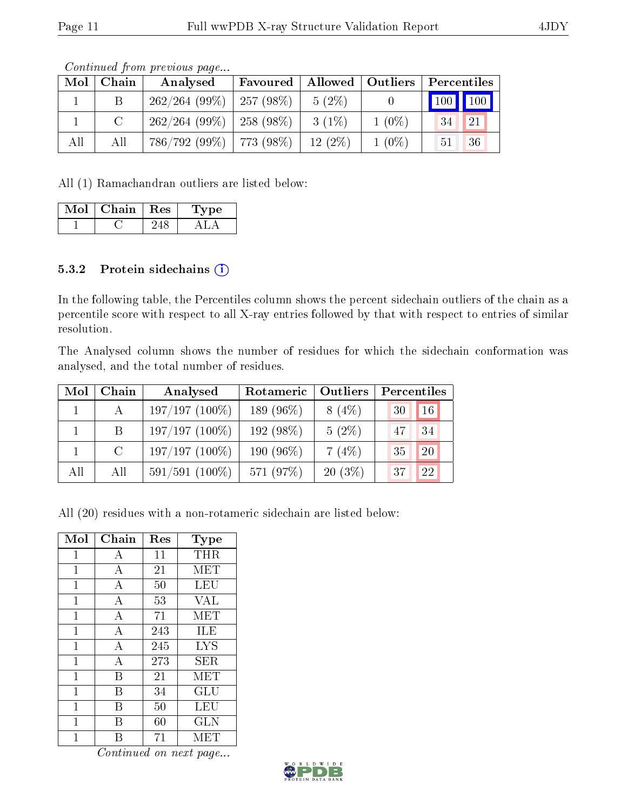|     | Controlled Hone Motor all page is |                               |                               |           |          |                                 |  |  |  |  |  |  |
|-----|-----------------------------------|-------------------------------|-------------------------------|-----------|----------|---------------------------------|--|--|--|--|--|--|
| Mol | Chain                             | Analysed                      | Favoured   Allowed   Outliers |           |          | Percentiles                     |  |  |  |  |  |  |
|     |                                   | $262/264$ (99\%)   257 (98\%) |                               | $5(2\%)$  |          | $\vert$ 100 $\vert$ 100 $\vert$ |  |  |  |  |  |  |
|     |                                   | $262/264$ (99\%)   258 (98\%) |                               | $3(1\%)$  | $1(0\%)$ | 21<br>$\sqrt{34}$               |  |  |  |  |  |  |
| All | All                               | $786/792(99\%)$   $773(98\%)$ |                               | $12(2\%)$ | $1(0\%)$ | 36<br>51                        |  |  |  |  |  |  |

All (1) Ramachandran outliers are listed below:

| Mol | Chain | Res | L'vpe |
|-----|-------|-----|-------|
|     |       |     |       |

#### 5.3.2 Protein sidechains (i)

In the following table, the Percentiles column shows the percent sidechain outliers of the chain as a percentile score with respect to all X-ray entries followed by that with respect to entries of similar resolution.

The Analysed column shows the number of residues for which the sidechain conformation was analysed, and the total number of residues.

| Mol | Chain         | Analysed         | Rotameric<br>Outliers |           | Percentiles |                 |  |
|-----|---------------|------------------|-----------------------|-----------|-------------|-----------------|--|
|     | А             | $197/197(100\%)$ | 189 (96%)             | $8(4\%)$  | 30          | 16 <sup>°</sup> |  |
|     | B             | $197/197(100\%)$ | 192 (98%)             | $5(2\%)$  | 47          | 34              |  |
|     | $\mathcal{C}$ | $197/197(100\%)$ | 190 (96%)             | 7(4%)     | 35          | 20              |  |
| All | All           | $591/591(100\%)$ | 571 (97%)             | $20(3\%)$ | 37          | 22              |  |

All (20) residues with a non-rotameric sidechain are listed below:

| Mol          | Chain          | Res    | $_{\rm Type}$ |
|--------------|----------------|--------|---------------|
| 1            | А              | 11     | THR           |
| $\mathbf{1}$ | A              | 21     | MET           |
| 1            | А              | 50     | LEU           |
| 1            | А              | 53     | VAL           |
| $\mathbf{1}$ | А              | 71     | MET           |
| 1            | А              | 243    | ILE           |
| 1            | $\overline{A}$ | 245    | <b>LYS</b>    |
| 1            | $\overline{A}$ | 273    | SER           |
| 1            | B              | 21     | MET           |
| 1            | B              | 34     | GLU           |
| 1            | R              | 50     | LEU           |
| 1            | R              | $60\,$ | <b>GLN</b>    |
|              |                | 71     | MET           |

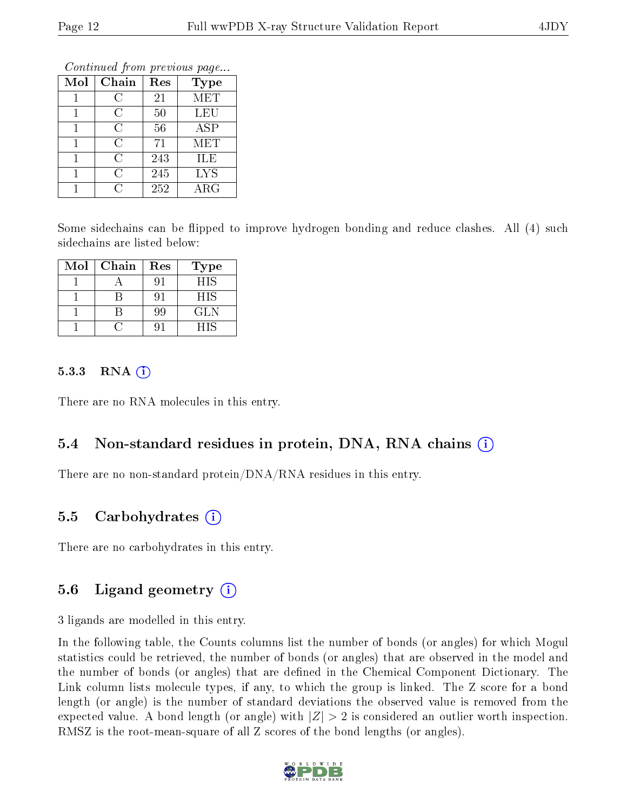Continued from previous page...

| Mol | Chain | Res | <b>Type</b> |
|-----|-------|-----|-------------|
|     | €     | 21  | MET         |
|     | C     | 50  | <b>LEU</b>  |
|     | C     | 56  | <b>ASP</b>  |
|     | С     | 71  | MET         |
|     | C     | 243 | ILE         |
|     | C     | 245 | <b>LYS</b>  |
|     | ŋ     | 252 | ${\rm ARG}$ |

Some sidechains can be flipped to improve hydrogen bonding and reduce clashes. All (4) such sidechains are listed below:

| Mol | Chain | Res | <b>Type</b> |
|-----|-------|-----|-------------|
|     |       | 91  | <b>HIS</b>  |
|     |       | 91  | HIS         |
|     |       | 99  | GLN         |
|     |       |     | HIS         |

#### $5.3.3$  RNA  $(i)$

There are no RNA molecules in this entry.

#### 5.4 Non-standard residues in protein, DNA, RNA chains (i)

There are no non-standard protein/DNA/RNA residues in this entry.

#### 5.5 Carbohydrates (i)

There are no carbohydrates in this entry.

#### 5.6 Ligand geometry  $(i)$

3 ligands are modelled in this entry.

In the following table, the Counts columns list the number of bonds (or angles) for which Mogul statistics could be retrieved, the number of bonds (or angles) that are observed in the model and the number of bonds (or angles) that are dened in the Chemical Component Dictionary. The Link column lists molecule types, if any, to which the group is linked. The Z score for a bond length (or angle) is the number of standard deviations the observed value is removed from the expected value. A bond length (or angle) with  $|Z| > 2$  is considered an outlier worth inspection. RMSZ is the root-mean-square of all Z scores of the bond lengths (or angles).

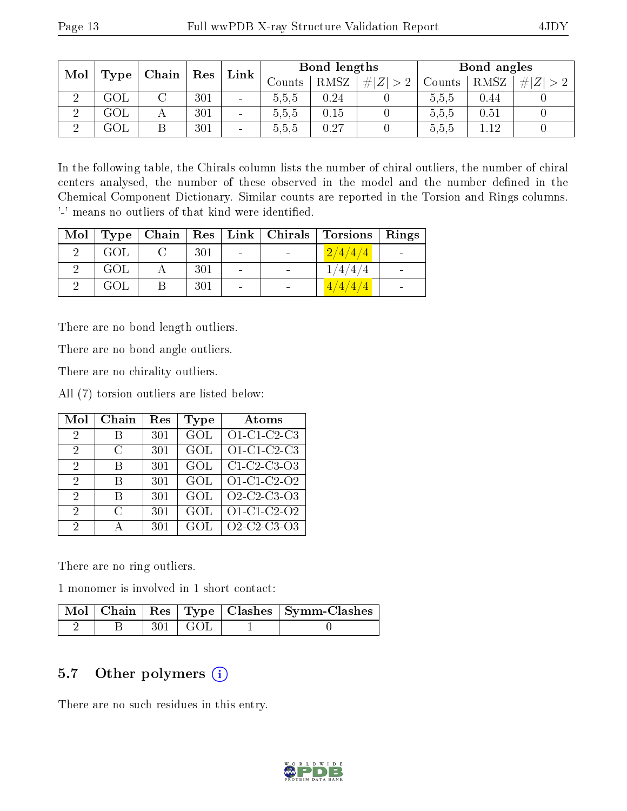| Mol<br>Type |     |  |     | Chain                    | $\vert$ Res | Link        | Bond lengths |       |      | Bond angles |  |  |
|-------------|-----|--|-----|--------------------------|-------------|-------------|--------------|-------|------|-------------|--|--|
|             |     |  |     | Counts                   | <b>RMSZ</b> | # $ Z  > 2$ | Counts       | RMSZ  | # Z  |             |  |  |
|             | GOL |  | 301 | $\blacksquare$           | 5.5.5       | 0.24        |              | 5.5.5 | 0.44 |             |  |  |
| ച           | GOL |  | 301 | $\overline{\phantom{a}}$ | 5,5,5       | 0.15        |              | 5,5,5 | 0.51 |             |  |  |
| ച           | GOL |  | 301 | $\overline{\phantom{a}}$ | 5.5.5       | 0.27        |              | 0.5.5 | 19   |             |  |  |

In the following table, the Chirals column lists the number of chiral outliers, the number of chiral centers analysed, the number of these observed in the model and the number defined in the Chemical Component Dictionary. Similar counts are reported in the Torsion and Rings columns. '-' means no outliers of that kind were identified.

|     |     |  | Mol   Type   Chain   Res   Link   Chirals   Torsions   Rings |  |
|-----|-----|--|--------------------------------------------------------------|--|
| GOL | 301 |  | 2/4/4/4                                                      |  |
| GOL | 301 |  | 1/4/4/4                                                      |  |
| GOL | 301 |  | 4/4/4/4                                                      |  |

There are no bond length outliers.

There are no bond angle outliers.

There are no chirality outliers.

All (7) torsion outliers are listed below:

| Mol | Chain | Res | Type       | Atoms                                                          |
|-----|-------|-----|------------|----------------------------------------------------------------|
| 2   |       | 301 | GOL        | O1-C1-C2-C3                                                    |
| 2   | C     | 301 | GOL        | $O1-C1-C2-C3$                                                  |
| 2   | R     | 301 | GOL        | $C1-C2-C3-O3$                                                  |
| 2   | В     | 301 | GOL        | $01C1$ $02C2$                                                  |
| 2   | R     | 301 | GOL        | O <sub>2</sub> -C <sub>2</sub> -C <sub>3</sub> -O <sub>3</sub> |
| 2   | C     | 301 | GOL        | $\overline{O1-C1}$ -C <sub>2</sub> -O <sub>2</sub>             |
| 2   | А     | 301 | <b>GOL</b> | O <sub>2</sub> -C <sub>2</sub> -C <sub>3</sub> -O <sub>3</sub> |

There are no ring outliers.

1 monomer is involved in 1 short contact:

|  |              | Mol   Chain   Res   Type   Clashes   Symm-Clashes |
|--|--------------|---------------------------------------------------|
|  | $+301 + GOL$ |                                                   |

### 5.7 [O](https://www.wwpdb.org/validation/2017/XrayValidationReportHelp#nonstandard_residues_and_ligands)ther polymers  $(i)$

There are no such residues in this entry.

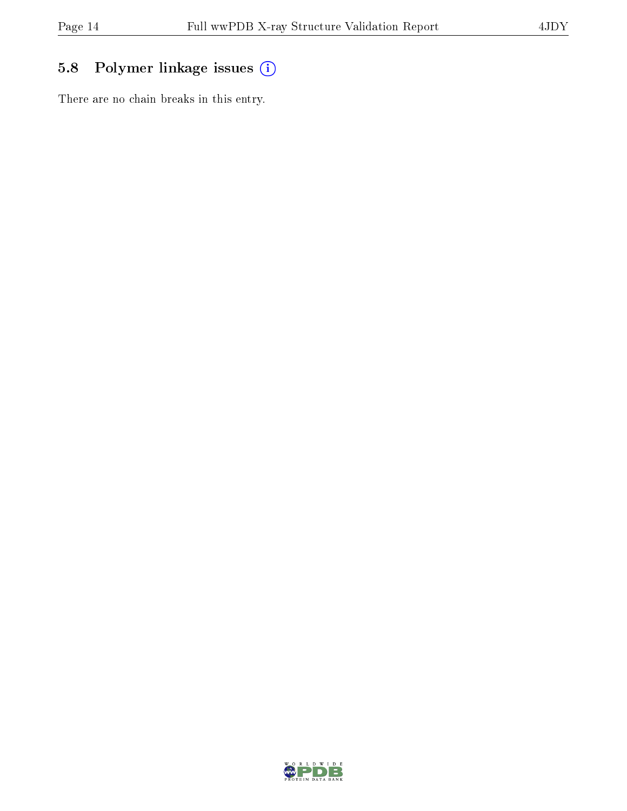## 5.8 Polymer linkage issues (i)

There are no chain breaks in this entry.

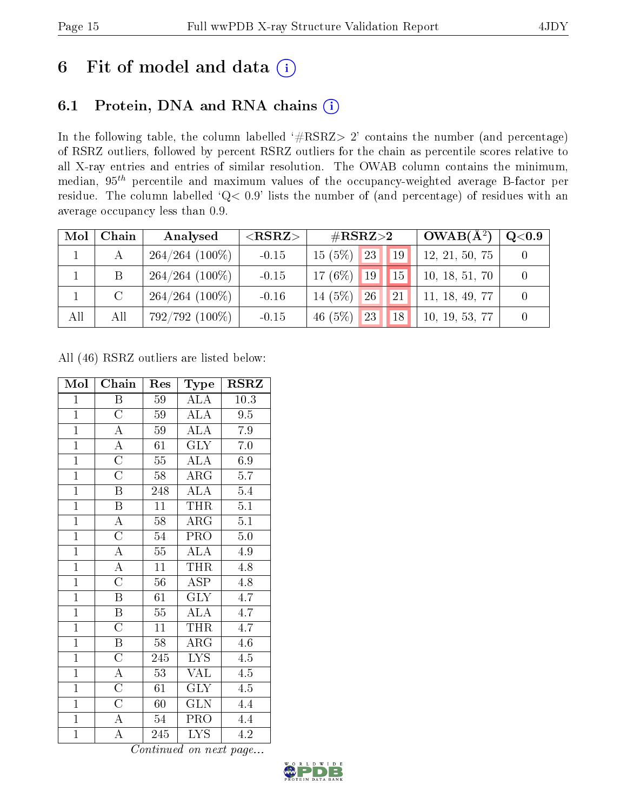# 6 Fit of model and data  $(i)$

### 6.1 Protein, DNA and RNA chains  $(i)$

In the following table, the column labelled  $#RSRZ> 2'$  contains the number (and percentage) of RSRZ outliers, followed by percent RSRZ outliers for the chain as percentile scores relative to all X-ray entries and entries of similar resolution. The OWAB column contains the minimum, median,  $95<sup>th</sup>$  percentile and maximum values of the occupancy-weighted average B-factor per residue. The column labelled ' $Q< 0.9$ ' lists the number of (and percentage) of residues with an average occupancy less than 0.9.

| Mol | Chain         | Analysed          | ${ <\hspace{-1.5pt}{\mathrm{RSRZ}} \hspace{-1.5pt}>}$ | $\rm \#RSRZ{>}2$ |  | $OWAB(A^2)$ | $\rm Q\textcolor{black}{<}0.9$ |  |
|-----|---------------|-------------------|-------------------------------------------------------|------------------|--|-------------|--------------------------------|--|
|     |               | $264/264$ (100%)  | $-0.15$                                               | $15(5\%)$ 23     |  | 19          | 12, 21, 50, 75                 |  |
|     | B             | $264/264$ (100\%) | $-0.15$                                               | $17(6\%)$ 19     |  | 15          | 10, 18, 51, 70                 |  |
|     | $\mathcal{C}$ | $264/264$ (100\%) | $-0.16$                                               | $14(5\%)$ 26     |  | 21          | 11, 18, 49, 77                 |  |
| All | All           | 792/792 (100%)    | $-0.15$                                               | 46 $(5\%)$ 23    |  | 18          | 10, 19, 53, 77                 |  |

All (46) RSRZ outliers are listed below:

| Mol            | Chain                   | Res             | Type                    | RSRZ             |
|----------------|-------------------------|-----------------|-------------------------|------------------|
| $\mathbf{1}$   | Β                       | 59              | <b>ALA</b>              | 10.3             |
| $\overline{1}$ | $\overline{\rm C}$      | 59              | <b>ALA</b>              | 9.5              |
| $\overline{1}$ | $\overline{\rm A}$      | 59              | $\overline{\rm ALA}$    | 7.9              |
| $\overline{1}$ | $\overline{A}$          | $\overline{61}$ | $\overline{\text{GLY}}$ | $\overline{7.0}$ |
| $\mathbf{1}$   | $\overline{\text{C}}$   | $55\,$          | $\overline{\rm ALA}$    | 6.9              |
| $\overline{1}$ | $\overline{\rm C}$      | 58              | $\overline{\rm ARG}$    | 5.7              |
| $\overline{1}$ | $\overline{\mathbf{B}}$ | 248             | ALA                     | 5.4              |
| $\overline{1}$ | $\overline{\mathrm{B}}$ | $\overline{11}$ | THR                     | $\overline{5.1}$ |
| $\overline{1}$ | $\overline{A}$          | 58              | $\overline{\text{ARG}}$ | $\overline{5.1}$ |
| $\overline{1}$ | $\overline{\rm C}$      | 54              | <b>PRO</b>              | $5.0\,$          |
| $\overline{1}$ | $\overline{A}$          | $\overline{55}$ | $\overline{\rm ALA}$    | 4.9              |
| $\overline{1}$ | $\overline{\rm A}$      | 11              | <b>THR</b>              | 4.8              |
| $\mathbf{1}$   | $\overline{\text{C}}$   | 56              | $\overline{\text{ASP}}$ | $\overline{4.8}$ |
| $\overline{1}$ | $\overline{\mathrm{B}}$ | 61              | <b>GLY</b>              | $4.\overline{7}$ |
| $\overline{1}$ | $\overline{\mathrm{B}}$ | 55              | $\overline{\text{ALA}}$ | 4.7              |
| $\overline{1}$ | $\overline{\rm C}$      | $\overline{11}$ | <b>THR</b>              | $\overline{4.7}$ |
| $\overline{1}$ | $\overline{\mathrm{B}}$ | 58              | $\rm{ARG}$              | 4.6              |
| $\overline{1}$ | $\overline{\rm C}$      | 245             | $\overline{\text{LYS}}$ | $\overline{4.5}$ |
| $\overline{1}$ | $\overline{\rm A}$      | 53              | <b>VAL</b>              | $\overline{4.5}$ |
| $\overline{1}$ | $\overline{\rm C}$      | 61              | <b>GLY</b>              | $4.\overline{5}$ |
| $\overline{1}$ | $\overline{\rm C}$      | 60              | GLN                     | 4.4              |
| $\mathbf{1}$   | $\overline{\rm A}$      | $54\,$          | PRO                     | 4.4              |
| $\mathbf{1}$   | $\overline{\rm A}$      | 245             | <b>LYS</b>              | $4.\overline{2}$ |

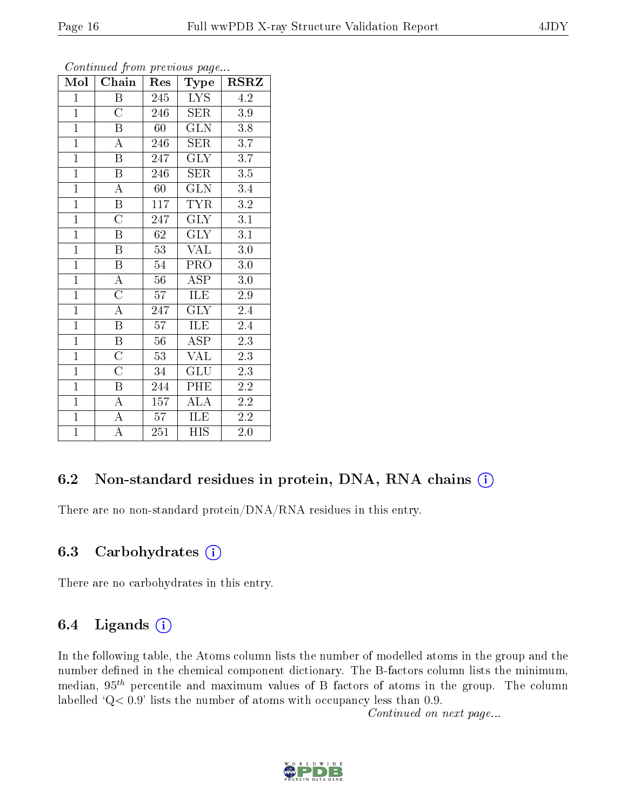|--|

| $\overline{\text{Mol}}$ | Chain                   | Res             | ້<br>Type               | <b>RSRZ</b>      |
|-------------------------|-------------------------|-----------------|-------------------------|------------------|
| $\mathbf{1}$            | B                       | 245             | LYS.                    | $4.2\,$          |
| $\overline{1}$          | $\overline{\rm C}$      | 246             | SER                     | $3.9\,$          |
| $\overline{1}$          | $\boldsymbol{B}$        | 60              | <b>GLN</b>              | $3.8\,$          |
| $\overline{1}$          | $\overline{\rm A}$      | 246             | SER                     | 3.7              |
| $\overline{1}$          | B                       | 247             | <b>GLY</b>              | $3.7\,$          |
| $\mathbf{1}$            | B                       | 246             | SER                     | $3.5\,$          |
| $\mathbf{1}$            | $\boldsymbol{A}$        | 60              | <b>GLN</b>              | 3.4              |
| $\mathbf{1}$            | B                       | 117             | <b>TYR</b>              | $3.2\,$          |
| $\overline{1}$          | $\overline{\rm C}$      | 247             | <b>GLY</b>              | $\overline{3.1}$ |
| $\overline{1}$          | $\overline{\mathrm{B}}$ | $\overline{62}$ | $\overline{\text{GLY}}$ | $\overline{3.1}$ |
| $\overline{1}$          | $\boldsymbol{B}$        | 53              | <b>VAL</b>              | 3.0              |
| $\overline{1}$          | $\overline{\mathrm{B}}$ | 54              | PRO                     | $3.0\,$          |
| $\overline{1}$          | $\overline{\rm A}$      | 56              | ASP                     | $3.0\,$          |
| $\overline{1}$          | $\overline{\rm C}$      | 57              | <b>ILE</b>              | 2.9              |
| $\overline{1}$          | $\overline{\rm A}$      | 247             | <b>GLY</b>              | 2.4              |
| $\mathbf{1}$            | $\, {\bf B}$            | $57\,$          | ILE                     | $2.4\,$          |
| $\overline{1}$          | B                       | 56              | ASP                     | 2.3              |
| $\mathbf{1}$            | $\mathcal C$            | 53              | <b>VAL</b>              | $2.3\,$          |
| $\mathbf{1}$            | $\overline{\rm C}$      | 34              | <b>GLU</b>              | 2.3              |
| $\overline{1}$          | $\overline{\mathrm{B}}$ | 244             | PHE                     | 2.2              |
| $\overline{1}$          | A                       | 157             | <b>ALA</b>              | 2.2              |
| $\overline{1}$          | A                       | 57              | <b>ILE</b>              | $2.2\,$          |
| $\mathbf{1}$            | A                       | 251             | <b>HIS</b>              | 2.0              |

### 6.2 Non-standard residues in protein, DNA, RNA chains (i)

There are no non-standard protein/DNA/RNA residues in this entry.

#### 6.3 Carbohydrates  $(i)$

There are no carbohydrates in this entry.

### 6.4 Ligands  $(i)$

In the following table, the Atoms column lists the number of modelled atoms in the group and the number defined in the chemical component dictionary. The B-factors column lists the minimum, median,  $95<sup>th</sup>$  percentile and maximum values of B factors of atoms in the group. The column labelled 'Q< 0.9' lists the number of atoms with occupancy less than 0.9.